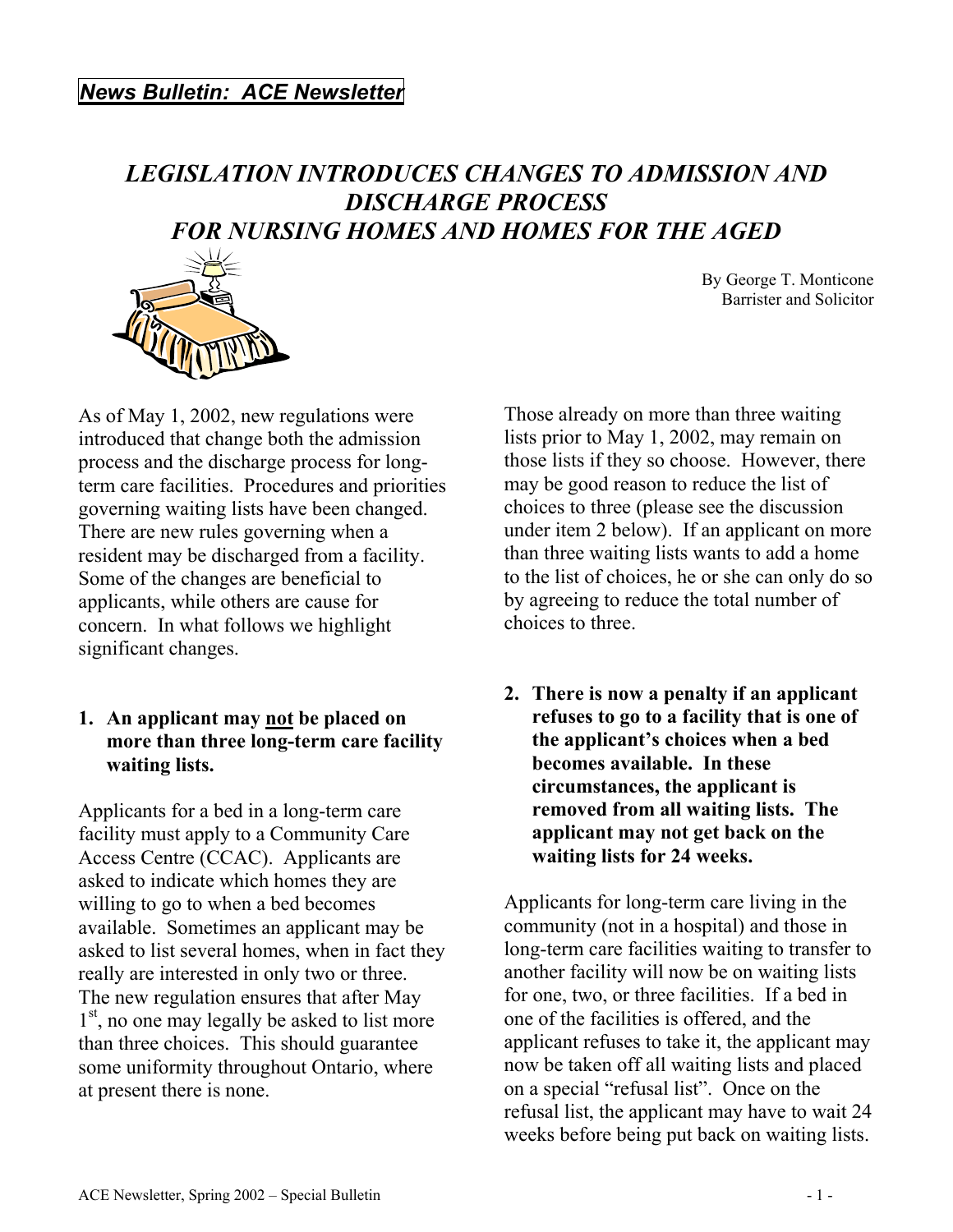## *LEGISLATION INTRODUCES CHANGES TO ADMISSION AND DISCHARGE PROCESS FOR NURSING HOMES AND HOMES FOR THE AGED*



By George T. Monticone Barrister and Solicitor

As of May 1, 2002, new regulations were introduced that change both the admission process and the discharge process for longterm care facilities. Procedures and priorities governing waiting lists have been changed. There are new rules governing when a resident may be discharged from a facility. Some of the changes are beneficial to applicants, while others are cause for concern. In what follows we highlight significant changes.

### **1. An applicant may not be placed on more than three long-term care facility waiting lists.**

Applicants for a bed in a long-term care facility must apply to a Community Care Access Centre (CCAC). Applicants are asked to indicate which homes they are willing to go to when a bed becomes available. Sometimes an applicant may be asked to list several homes, when in fact they really are interested in only two or three. The new regulation ensures that after May 1<sup>st</sup>, no one may legally be asked to list more than three choices. This should guarantee some uniformity throughout Ontario, where at present there is none.

Those already on more than three waiting lists prior to May 1, 2002, may remain on those lists if they so choose. However, there may be good reason to reduce the list of choices to three (please see the discussion under item 2 below). If an applicant on more than three waiting lists wants to add a home to the list of choices, he or she can only do so by agreeing to reduce the total number of choices to three.

**2. There is now a penalty if an applicant refuses to go to a facility that is one of the applicant's choices when a bed becomes available. In these circumstances, the applicant is removed from all waiting lists. The applicant may not get back on the waiting lists for 24 weeks.** 

Applicants for long-term care living in the community (not in a hospital) and those in long-term care facilities waiting to transfer to another facility will now be on waiting lists for one, two, or three facilities. If a bed in one of the facilities is offered, and the applicant refuses to take it, the applicant may now be taken off all waiting lists and placed on a special "refusal list". Once on the refusal list, the applicant may have to wait 24 weeks before being put back on waiting lists.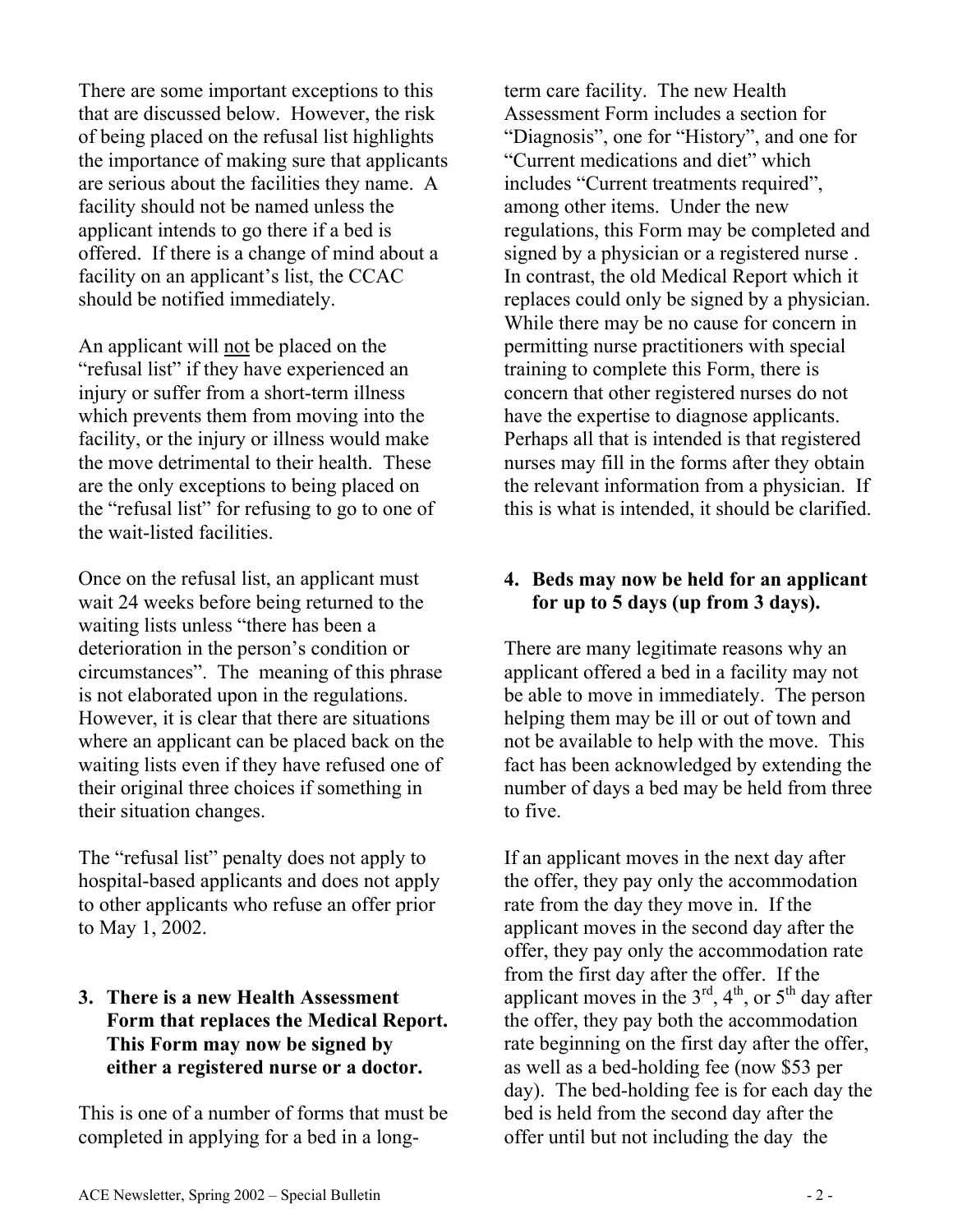There are some important exceptions to this that are discussed below. However, the risk of being placed on the refusal list highlights the importance of making sure that applicants are serious about the facilities they name. A facility should not be named unless the applicant intends to go there if a bed is offered. If there is a change of mind about a facility on an applicant's list, the CCAC should be notified immediately.

An applicant will not be placed on the "refusal list" if they have experienced an injury or suffer from a short-term illness which prevents them from moving into the facility, or the injury or illness would make the move detrimental to their health. These are the only exceptions to being placed on the "refusal list" for refusing to go to one of the wait-listed facilities.

Once on the refusal list, an applicant must wait 24 weeks before being returned to the waiting lists unless "there has been a deterioration in the person's condition or circumstances". The meaning of this phrase is not elaborated upon in the regulations. However, it is clear that there are situations where an applicant can be placed back on the waiting lists even if they have refused one of their original three choices if something in their situation changes.

The "refusal list" penalty does not apply to hospital-based applicants and does not apply to other applicants who refuse an offer prior to May 1, 2002.

#### **3. There is a new Health Assessment Form that replaces the Medical Report. This Form may now be signed by either a registered nurse or a doctor.**

This is one of a number of forms that must be completed in applying for a bed in a longterm care facility. The new Health Assessment Form includes a section for "Diagnosis", one for "History", and one for "Current medications and diet" which includes "Current treatments required", among other items. Under the new regulations, this Form may be completed and signed by a physician or a registered nurse . In contrast, the old Medical Report which it replaces could only be signed by a physician. While there may be no cause for concern in permitting nurse practitioners with special training to complete this Form, there is concern that other registered nurses do not have the expertise to diagnose applicants. Perhaps all that is intended is that registered nurses may fill in the forms after they obtain the relevant information from a physician. If this is what is intended, it should be clarified.

#### **4. Beds may now be held for an applicant for up to 5 days (up from 3 days).**

There are many legitimate reasons why an applicant offered a bed in a facility may not be able to move in immediately. The person helping them may be ill or out of town and not be available to help with the move. This fact has been acknowledged by extending the number of days a bed may be held from three to five.

If an applicant moves in the next day after the offer, they pay only the accommodation rate from the day they move in. If the applicant moves in the second day after the offer, they pay only the accommodation rate from the first day after the offer. If the applicant moves in the  $3<sup>rd</sup>$ ,  $4<sup>th</sup>$ , or  $5<sup>th</sup>$  day after the offer, they pay both the accommodation rate beginning on the first day after the offer, as well as a bed-holding fee (now \$53 per day). The bed-holding fee is for each day the bed is held from the second day after the offer until but not including the day the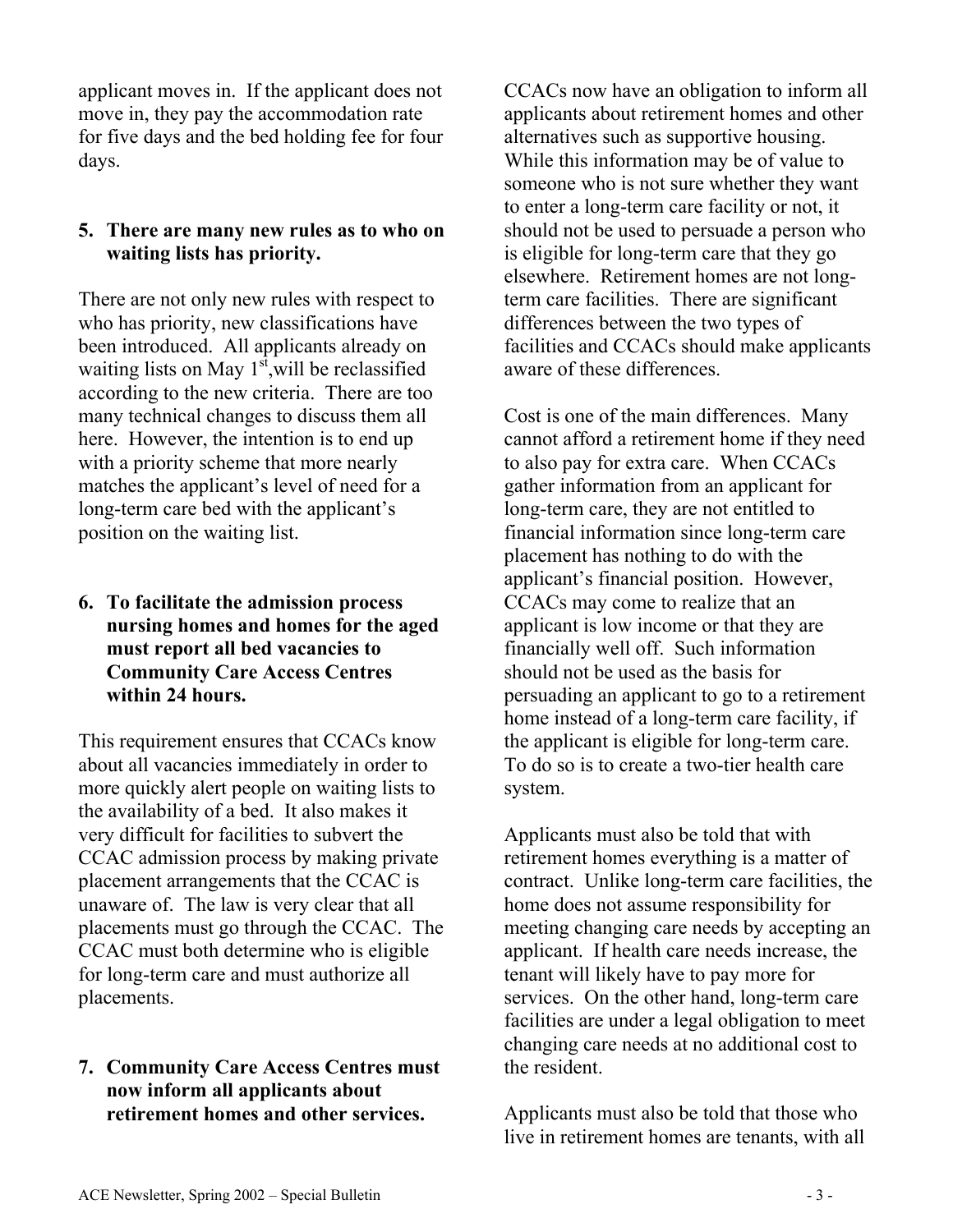applicant moves in. If the applicant does not move in, they pay the accommodation rate for five days and the bed holding fee for four days.

#### **5. There are many new rules as to who on waiting lists has priority.**

There are not only new rules with respect to who has priority, new classifications have been introduced. All applicants already on waiting lists on May  $1<sup>st</sup>$ , will be reclassified according to the new criteria. There are too many technical changes to discuss them all here. However, the intention is to end up with a priority scheme that more nearly matches the applicant's level of need for a long-term care bed with the applicant's position on the waiting list.

### **6. To facilitate the admission process nursing homes and homes for the aged must report all bed vacancies to Community Care Access Centres within 24 hours.**

This requirement ensures that CCACs know about all vacancies immediately in order to more quickly alert people on waiting lists to the availability of a bed. It also makes it very difficult for facilities to subvert the CCAC admission process by making private placement arrangements that the CCAC is unaware of. The law is very clear that all placements must go through the CCAC. The CCAC must both determine who is eligible for long-term care and must authorize all placements.

# **7. Community Care Access Centres must** the resident. **now inform all applicants about**

CCACs now have an obligation to inform all applicants about retirement homes and other alternatives such as supportive housing. While this information may be of value to someone who is not sure whether they want to enter a long-term care facility or not, it should not be used to persuade a person who is eligible for long-term care that they go elsewhere. Retirement homes are not longterm care facilities. There are significant differences between the two types of facilities and CCACs should make applicants aware of these differences.

Cost is one of the main differences. Many cannot afford a retirement home if they need to also pay for extra care. When CCACs gather information from an applicant for long-term care, they are not entitled to financial information since long-term care placement has nothing to do with the applicant's financial position. However, CCACs may come to realize that an applicant is low income or that they are financially well off. Such information should not be used as the basis for persuading an applicant to go to a retirement home instead of a long-term care facility, if the applicant is eligible for long-term care. To do so is to create a two-tier health care system.

Applicants must also be told that with retirement homes everything is a matter of contract. Unlike long-term care facilities, the home does not assume responsibility for meeting changing care needs by accepting an applicant. If health care needs increase, the tenant will likely have to pay more for services. On the other hand, long-term care facilities are under a legal obligation to meet changing care needs at no additional cost to

**retirement homes and other services.** Applicants must also be told that those who live in retirement homes are tenants, with all